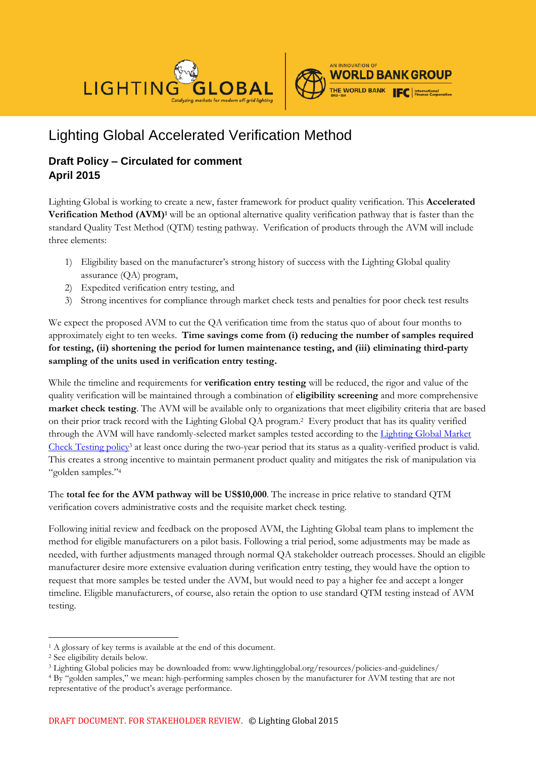

# Lighting Global Accelerated Verification Method

## **Draft Policy – Circulated for comment April 2015**

Lighting Global is working to create a new, faster framework for product quality verification. This **Accelerated Verification Method (AVM)<sup>1</sup>** will be an optional alternative quality verification pathway that is faster than the standard Quality Test Method (QTM) testing pathway. Verification of products through the AVM will include three elements:

- 1) Eligibility based on the manufacturer's strong history of success with the Lighting Global quality assurance (QA) program,
- 2) Expedited verification entry testing, and
- 3) Strong incentives for compliance through market check tests and penalties for poor check test results

We expect the proposed AVM to cut the QA verification time from the status quo of about four months to approximately eight to ten weeks. **Time savings come from (i) reducing the number of samples required for testing, (ii) shortening the period for lumen maintenance testing, and (iii) eliminating third-party sampling of the units used in verification entry testing.** 

While the timeline and requirements for **verification entry testing** will be reduced, the rigor and value of the quality verification will be maintained through a combination of **eligibility screening** and more comprehensive **market check testing**. The AVM will be available only to organizations that meet eligibility criteria that are based on their prior track record with the Lighting Global QA program.<sup>2</sup> Every product that has its quality verified through the AVM will have randomly-selected market samples tested according to the [Lighting Global Market](http://www.lightingglobal.org/wp-content/uploads/bsk-pdf-manager/93_lg_marketchecktestpolicy_v3.pdf)  [Check Testing](http://www.lightingglobal.org/wp-content/uploads/bsk-pdf-manager/93_lg_marketchecktestpolicy_v3.pdf) policy<sup>3</sup> at least once during the two-year period that its status as a quality-verified product is valid. This creates a strong incentive to maintain permanent product quality and mitigates the risk of manipulation via "golden samples."<sup>4</sup>

The **total fee for the AVM pathway will be US\$10,000**. The increase in price relative to standard QTM verification covers administrative costs and the requisite market check testing.

Following initial review and feedback on the proposed AVM, the Lighting Global team plans to implement the method for eligible manufacturers on a pilot basis. Following a trial period, some adjustments may be made as needed, with further adjustments managed through normal QA stakeholder outreach processes. Should an eligible manufacturer desire more extensive evaluation during verification entry testing, they would have the option to request that more samples be tested under the AVM, but would need to pay a higher fee and accept a longer timeline. Eligible manufacturers, of course, also retain the option to use standard QTM testing instead of AVM testing.

<sup>-</sup><sup>1</sup> A glossary of key terms is available at the end of this document.

<sup>2</sup> See eligibility details below.

<sup>3</sup> Lighting Global policies may be downloaded from: www.lightingglobal.org/resources/policies-and-guidelines/

<sup>4</sup> By "golden samples," we mean: high-performing samples chosen by the manufacturer for AVM testing that are not representative of the product's average performance.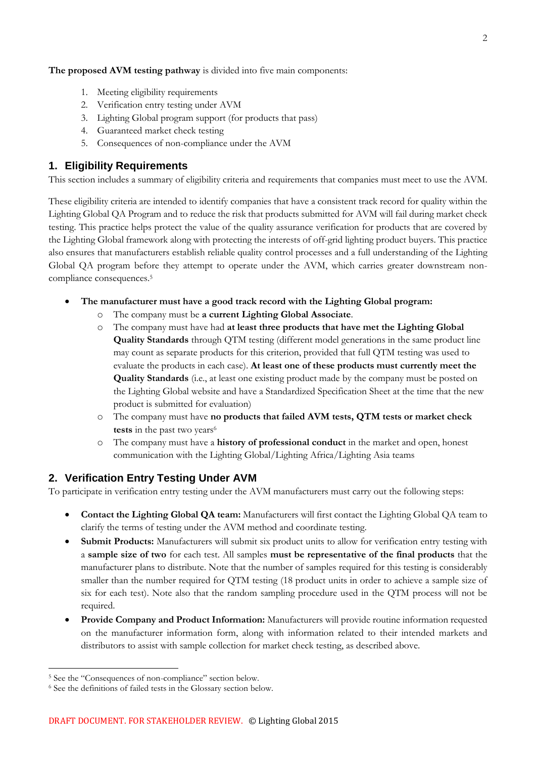**The proposed AVM testing pathway** is divided into five main components:

- 1. Meeting eligibility requirements
- 2. Verification entry testing under AVM
- 3. Lighting Global program support (for products that pass)
- 4. Guaranteed market check testing
- 5. Consequences of non-compliance under the AVM

## **1. Eligibility Requirements**

This section includes a summary of eligibility criteria and requirements that companies must meet to use the AVM.

These eligibility criteria are intended to identify companies that have a consistent track record for quality within the Lighting Global QA Program and to reduce the risk that products submitted for AVM will fail during market check testing. This practice helps protect the value of the quality assurance verification for products that are covered by the Lighting Global framework along with protecting the interests of off-grid lighting product buyers. This practice also ensures that manufacturers establish reliable quality control processes and a full understanding of the Lighting Global QA program before they attempt to operate under the AVM, which carries greater downstream noncompliance consequences.<sup>5</sup>

- **The manufacturer must have a good track record with the Lighting Global program:**
	- The company must be a current Lighting Global Associate.
	- o The company must have had **at least three products that have met the Lighting Global Quality Standards** through QTM testing (different model generations in the same product line may count as separate products for this criterion, provided that full QTM testing was used to evaluate the products in each case). **At least one of these products must currently meet the Quality Standards** (i.e., at least one existing product made by the company must be posted on the Lighting Global website and have a Standardized Specification Sheet at the time that the new product is submitted for evaluation)
	- o The company must have **no products that failed AVM tests, QTM tests or market check tests** in the past two years<sup>6</sup>
	- o The company must have a **history of professional conduct** in the market and open, honest communication with the Lighting Global/Lighting Africa/Lighting Asia teams

## **2. Verification Entry Testing Under AVM**

To participate in verification entry testing under the AVM manufacturers must carry out the following steps:

- **Contact the Lighting Global QA team:** Manufacturers will first contact the Lighting Global QA team to clarify the terms of testing under the AVM method and coordinate testing.
- **Submit Products:** Manufacturers will submit six product units to allow for verification entry testing with a **sample size of two** for each test. All samples **must be representative of the final products** that the manufacturer plans to distribute. Note that the number of samples required for this testing is considerably smaller than the number required for QTM testing (18 product units in order to achieve a sample size of six for each test). Note also that the random sampling procedure used in the QTM process will not be required.
- **Provide Company and Product Information:** Manufacturers will provide routine information requested on the manufacturer information form, along with information related to their intended markets and distributors to assist with sample collection for market check testing, as described above.

<u>.</u>

<sup>5</sup> See the "Consequences of non-compliance" section below.

<sup>6</sup> See the definitions of failed tests in the Glossary section below.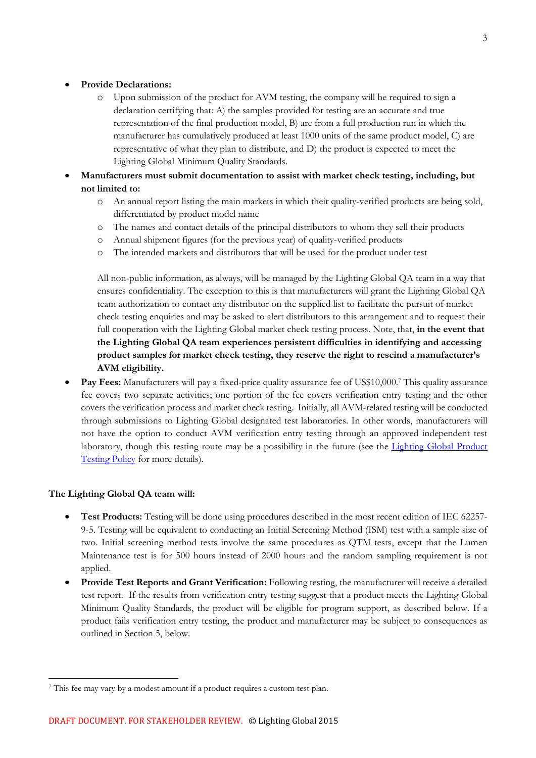#### **Provide Declarations:**

- o Upon submission of the product for AVM testing, the company will be required to sign a declaration certifying that: A) the samples provided for testing are an accurate and true representation of the final production model, B) are from a full production run in which the manufacturer has cumulatively produced at least 1000 units of the same product model, C) are representative of what they plan to distribute, and D) the product is expected to meet the Lighting Global Minimum Quality Standards.
- **Manufacturers must submit documentation to assist with market check testing, including, but not limited to:**
	- o An annual report listing the main markets in which their quality-verified products are being sold, differentiated by product model name
	- o The names and contact details of the principal distributors to whom they sell their products
	- o Annual shipment figures (for the previous year) of quality-verified products
	- o The intended markets and distributors that will be used for the product under test

All non-public information, as always, will be managed by the Lighting Global QA team in a way that ensures confidentiality. The exception to this is that manufacturers will grant the Lighting Global QA team authorization to contact any distributor on the supplied list to facilitate the pursuit of market check testing enquiries and may be asked to alert distributors to this arrangement and to request their full cooperation with the Lighting Global market check testing process. Note, that, **in the event that the Lighting Global QA team experiences persistent difficulties in identifying and accessing product samples for market check testing, they reserve the right to rescind a manufacturer's AVM eligibility.**

 **Pay Fees:** Manufacturers will pay a fixed-price quality assurance fee of US\$10,000.<sup>7</sup> This quality assurance fee covers two separate activities; one portion of the fee covers verification entry testing and the other covers the verification process and market check testing. Initially, all AVM-related testing will be conducted through submissions to Lighting Global designated test laboratories. In other words, manufacturers will not have the option to conduct AVM verification entry testing through an approved independent test laboratory, though this testing route may be a possibility in the future (see the Lighting Global Product [Testing Policy](http://www.lightingglobal.org/wp-content/uploads/2013/12/LG_Product-Testing-Policy_v1.1.pdf) for more details).

#### **The Lighting Global QA team will:**

- **Test Products:** Testing will be done using procedures described in the most recent edition of IEC 62257- 9-5. Testing will be equivalent to conducting an Initial Screening Method (ISM) test with a sample size of two. Initial screening method tests involve the same procedures as QTM tests, except that the Lumen Maintenance test is for 500 hours instead of 2000 hours and the random sampling requirement is not applied.
- **Provide Test Reports and Grant Verification:** Following testing, the manufacturer will receive a detailed test report. If the results from verification entry testing suggest that a product meets the Lighting Global Minimum Quality Standards, the product will be eligible for program support, as described below. If a product fails verification entry testing, the product and manufacturer may be subject to consequences as outlined in Section 5, below.

<sup>-</sup><sup>7</sup> This fee may vary by a modest amount if a product requires a custom test plan.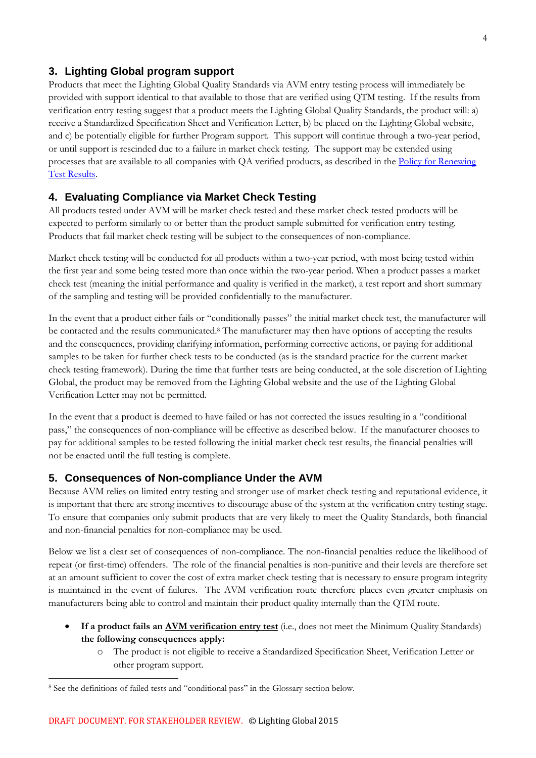## **3. Lighting Global program support**

Products that meet the Lighting Global Quality Standards via AVM entry testing process will immediately be provided with support identical to that available to those that are verified using QTM testing. If the results from verification entry testing suggest that a product meets the Lighting Global Quality Standards, the product will: a) receive a Standardized Specification Sheet and Verification Letter, b) be placed on the Lighting Global website, and c) be potentially eligible for further Program support. This support will continue through a two-year period, or until support is rescinded due to a failure in market check testing. The support may be extended using processes that are available to all companies with QA verified products, as described in the [Policy for Renewing](http://www.lightingglobal.org/wp-content/uploads/bsk-pdf-manager/92_lg_test-renewal-policy-v2.pdf)  [Test Results.](http://www.lightingglobal.org/wp-content/uploads/bsk-pdf-manager/92_lg_test-renewal-policy-v2.pdf)

## **4. Evaluating Compliance via Market Check Testing**

All products tested under AVM will be market check tested and these market check tested products will be expected to perform similarly to or better than the product sample submitted for verification entry testing. Products that fail market check testing will be subject to the consequences of non-compliance.

Market check testing will be conducted for all products within a two-year period, with most being tested within the first year and some being tested more than once within the two-year period. When a product passes a market check test (meaning the initial performance and quality is verified in the market), a test report and short summary of the sampling and testing will be provided confidentially to the manufacturer.

In the event that a product either fails or "conditionally passes" the initial market check test, the manufacturer will be contacted and the results communicated.<sup>8</sup> The manufacturer may then have options of accepting the results and the consequences, providing clarifying information, performing corrective actions, or paying for additional samples to be taken for further check tests to be conducted (as is the standard practice for the current market check testing framework). During the time that further tests are being conducted, at the sole discretion of Lighting Global, the product may be removed from the Lighting Global website and the use of the Lighting Global Verification Letter may not be permitted.

In the event that a product is deemed to have failed or has not corrected the issues resulting in a "conditional pass," the consequences of non-compliance will be effective as described below. If the manufacturer chooses to pay for additional samples to be tested following the initial market check test results, the financial penalties will not be enacted until the full testing is complete.

### **5. Consequences of Non-compliance Under the AVM**

Because AVM relies on limited entry testing and stronger use of market check testing and reputational evidence, it is important that there are strong incentives to discourage abuse of the system at the verification entry testing stage. To ensure that companies only submit products that are very likely to meet the Quality Standards, both financial and non-financial penalties for non-compliance may be used.

Below we list a clear set of consequences of non-compliance. The non-financial penalties reduce the likelihood of repeat (or first-time) offenders. The role of the financial penalties is non-punitive and their levels are therefore set at an amount sufficient to cover the cost of extra market check testing that is necessary to ensure program integrity is maintained in the event of failures. The AVM verification route therefore places even greater emphasis on manufacturers being able to control and maintain their product quality internally than the QTM route.

- **If a product fails an AVM verification entry test** (i.e., does not meet the Minimum Quality Standards) **the following consequences apply:**
	- o The product is not eligible to receive a Standardized Specification Sheet, Verification Letter or other program support.

-

<sup>8</sup> See the definitions of failed tests and "conditional pass" in the Glossary section below.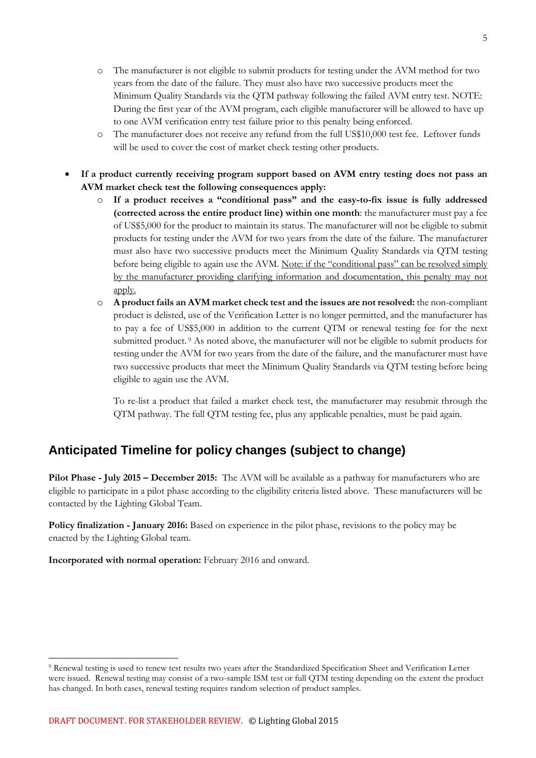- o The manufacturer is not eligible to submit products for testing under the AVM method for two years from the date of the failure. They must also have two successive products meet the Minimum Quality Standards via the QTM pathway following the failed AVM entry test. NOTE: During the first year of the AVM program, each eligible manufacturer will be allowed to have up to one AVM verification entry test failure prior to this penalty being enforced.
- o The manufacturer does not receive any refund from the full US\$10,000 test fee. Leftover funds will be used to cover the cost of market check testing other products.
- **If a product currently receiving program support based on AVM entry testing does not pass an AVM market check test the following consequences apply:**
	- o **If a product receives a "conditional pass" and the easy-to-fix issue is fully addressed (corrected across the entire product line) within one month**: the manufacturer must pay a fee of US\$5,000 for the product to maintain its status. The manufacturer will not be eligible to submit products for testing under the AVM for two years from the date of the failure. The manufacturer must also have two successive products meet the Minimum Quality Standards via QTM testing before being eligible to again use the AVM. Note: if the "conditional pass" can be resolved simply by the manufacturer providing clarifying information and documentation, this penalty may not apply.
	- o **A product fails an AVM market check test and the issues are not resolved:** the non-compliant product is delisted, use of the Verification Letter is no longer permitted, and the manufacturer has to pay a fee of US\$5,000 in addition to the current QTM or renewal testing fee for the next submitted product. <sup>9</sup> As noted above, the manufacturer will not be eligible to submit products for testing under the AVM for two years from the date of the failure, and the manufacturer must have two successive products that meet the Minimum Quality Standards via QTM testing before being eligible to again use the AVM.

To re-list a product that failed a market check test, the manufacturer may resubmit through the QTM pathway. The full QTM testing fee, plus any applicable penalties, must be paid again.

# **Anticipated Timeline for policy changes (subject to change)**

**Pilot Phase - July 2015 – December 2015:** The AVM will be available as a pathway for manufacturers who are eligible to participate in a pilot phase according to the eligibility criteria listed above. These manufacturers will be contacted by the Lighting Global Team.

**Policy finalization <b>- January 2016:** Based on experience in the pilot phase, revisions to the policy may be enacted by the Lighting Global team.

**Incorporated with normal operation:** February 2016 and onward.

<u>.</u>

<sup>9</sup> Renewal testing is used to renew test results two years after the Standardized Specification Sheet and Verification Letter were issued. Renewal testing may consist of a two-sample ISM test or full QTM testing depending on the extent the product has changed. In both cases, renewal testing requires random selection of product samples.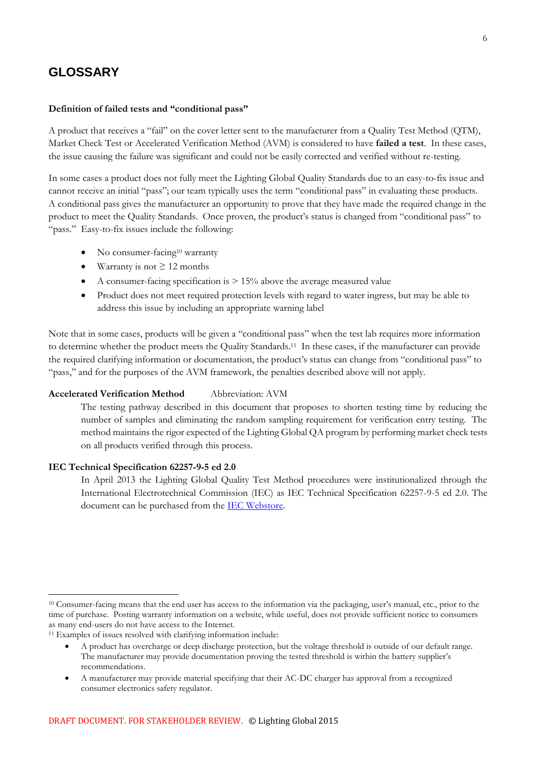## **GLOSSARY**

#### **Definition of failed tests and "conditional pass"**

A product that receives a "fail" on the cover letter sent to the manufacturer from a Quality Test Method (QTM), Market Check Test or Accelerated Verification Method (AVM) is considered to have **failed a test**. In these cases, the issue causing the failure was significant and could not be easily corrected and verified without re-testing.

In some cases a product does not fully meet the Lighting Global Quality Standards due to an easy-to-fix issue and cannot receive an initial "pass"; our team typically uses the term "conditional pass" in evaluating these products. A conditional pass gives the manufacturer an opportunity to prove that they have made the required change in the product to meet the Quality Standards. Once proven, the product's status is changed from "conditional pass" to "pass." Easy-to-fix issues include the following:

- No consumer-facing<sup>10</sup> warranty
- $\bullet$  Warranty is not  $\geq 12$  months
- A consumer-facing specification is  $> 15\%$  above the average measured value
- Product does not meet required protection levels with regard to water ingress, but may be able to address this issue by including an appropriate warning label

Note that in some cases, products will be given a "conditional pass" when the test lab requires more information to determine whether the product meets the Quality Standards.<sup>11</sup> In these cases, if the manufacturer can provide the required clarifying information or documentation, the product's status can change from "conditional pass" to "pass," and for the purposes of the AVM framework, the penalties described above will not apply.

#### **Accelerated Verification Method** Abbreviation: AVM

The testing pathway described in this document that proposes to shorten testing time by reducing the number of samples and eliminating the random sampling requirement for verification entry testing. The method maintains the rigor expected of the Lighting Global QA program by performing market check tests on all products verified through this process.

#### **IEC Technical Specification 62257-9-5 ed 2.0**

<u>.</u>

In April 2013 the Lighting Global Quality Test Method procedures were institutionalized through the International Electrotechnical Commission (IEC) as IEC Technical Specification 62257-9-5 ed 2.0. The document can be purchased from the [IEC Webstore.](http://webstore.iec.ch/webstore/webstore.nsf/Artnum_PK/47681)

<sup>10</sup> Consumer-facing means that the end user has access to the information via the packaging, user's manual, etc., prior to the time of purchase. Posting warranty information on a website, while useful, does not provide sufficient notice to consumers as many end-users do not have access to the Internet.

<sup>&</sup>lt;sup>11</sup> Examples of issues resolved with clarifying information include:

A product has overcharge or deep discharge protection, but the voltage threshold is outside of our default range. The manufacturer may provide documentation proving the tested threshold is within the battery supplier's recommendations.

A manufacturer may provide material specifying that their AC-DC charger has approval from a recognized consumer electronics safety regulator.